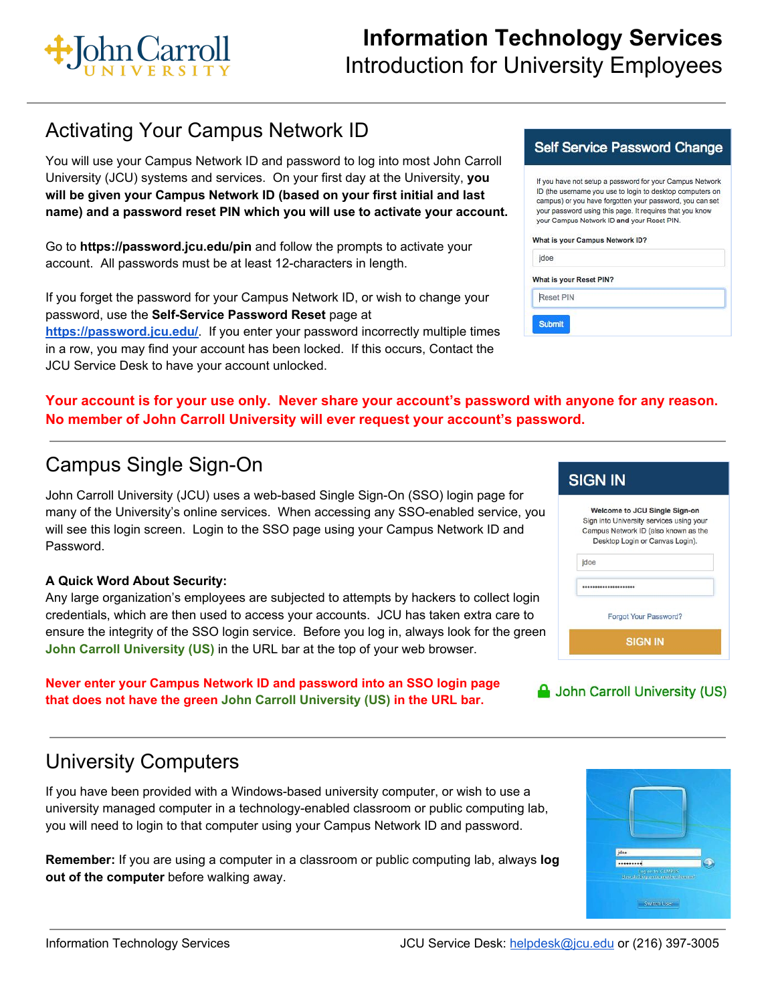

## Activating Your Campus Network ID

You will use your Campus Network ID and password to log into most John Carroll University (JCU) systems and services. On your first day at the University, **you will be given your Campus Network ID (based on your first initial and last name) and a password reset PIN which you will use to activate your account.**

Go to **https://password.jcu.edu/pin** and follow the prompts to activate your account. All passwords must be at least 12-characters in length.

If you forget the password for your Campus Network ID, or wish to change your password, use the **Self-Service Password Reset** page at **<https://password.jcu.edu/>**. If you enter your password incorrectly multiple times in a row, you may find your account has been locked. If this occurs, Contact the JCU Service Desk to have your account unlocked.

#### **Self Service Password Change**

If you have not setup a password for your Campus Network ID (the username you use to login to desktop computers on campus) or you have forgotten your password, you can set your password using this page. It requires that you know your Campus Network ID and your Reset PIN.

#### What is your Campus Network ID?

| jdoe                    |  |
|-------------------------|--|
| What is your Reset PIN? |  |
| Reset PIN               |  |
| <b>Submit</b>           |  |

#### **Your account is for your use only. Never share your account's password with anyone for any reason. No member of John Carroll University will ever request your account's password.**

## Campus Single Sign-On

John Carroll University (JCU) uses a web-based Single Sign-On (SSO) login page for many of the University's online services. When accessing any SSO-enabled service, you will see this login screen. Login to the SSO page using your Campus Network ID and Password.

#### **A Quick Word About Security:**

Any large organization's employees are subjected to attempts by hackers to collect login credentials, which are then used to access your accounts. JCU has taken extra care to ensure the integrity of the SSO login service. Before you log in, always look for the green **John Carroll University (US)** in the URL bar at the top of your web browser.

**Never enter your Campus Network ID and password into an SSO login page that does not have the green John Carroll University (US) in the URL bar.**

# University Computers

If you have been provided with a Windows-based university computer, or wish to use a university managed computer in a technology-enabled classroom or public computing lab, you will need to login to that computer using your Campus Network ID and password.

**Remember:** If you are using a computer in a classroom or public computing lab, always **log out of the computer** before walking away.

#### **SIGN IN** Welcome to JCU Single Sign-on Sign into University services using your Campus Network ID (also known as the Desktop Login or Canvas Login). jdoe .................... Forgot Your Password? **SIGN IN**



| jdoe                                                    |
|---------------------------------------------------------|
|                                                         |
|                                                         |
| Log on to: CAMPUS<br>How do I log on to another domain? |
|                                                         |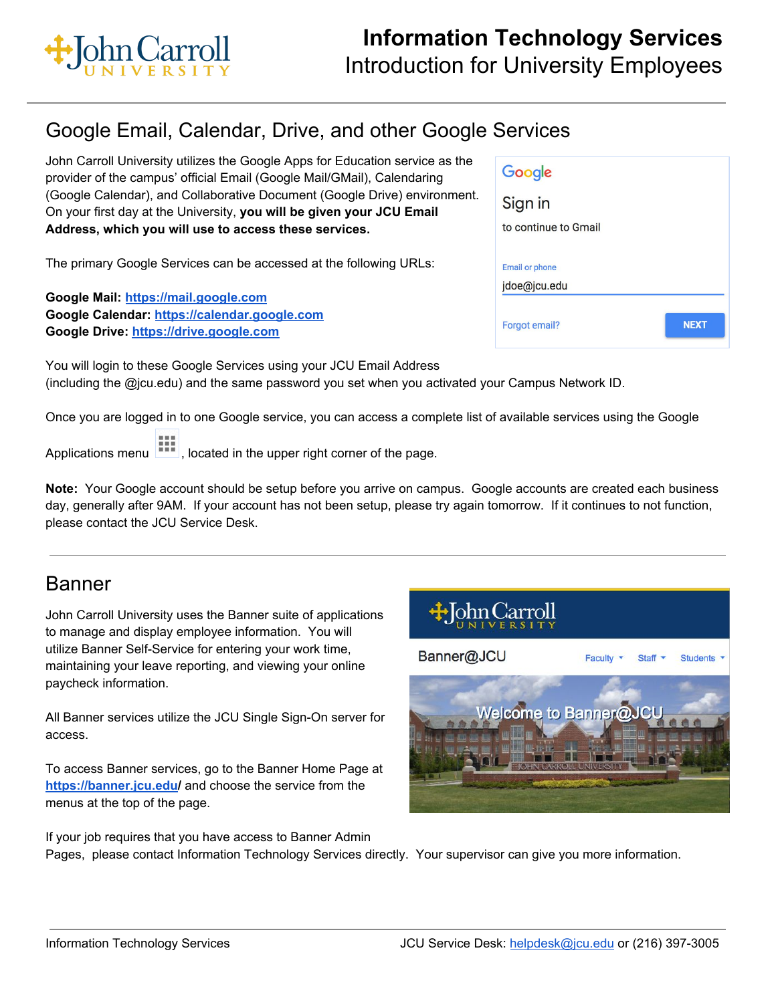

## Google Email, Calendar, Drive, and other Google Services

John Carroll University utilizes the Google Apps for Education service as the provider of the campus' official Email (Google Mail/GMail), Calendaring (Google Calendar), and Collaborative Document (Google Drive) environment. On your first day at the University, **you will be given your JCU Email Address, which you will use to access these services.**

The primary Google Services can be accessed at the following URLs:

**Google Mail: [https://mail.google.com](https://mail.google.com/) Google Calendar: [https://calendar.google.com](https://calendar.google.com/) Google Drive: [https://drive.google.com](https://drive.google.com/)**

| Google                |             |
|-----------------------|-------------|
| Sign in               |             |
| to continue to Gmail  |             |
| <b>Email or phone</b> |             |
| jdoe@jcu.edu          |             |
| Forgot email?         | <b>NEXT</b> |

You will login to these Google Services using your JCU Email Address (including the @jcu.edu) and the same password you set when you activated your Campus Network ID.

Once you are logged in to one Google service, you can access a complete list of available services using the Google

Applications menu , located in the upper right corner of the page.

**Note:** Your Google account should be setup before you arrive on campus. Google accounts are created each business day, generally after 9AM. If your account has not been setup, please try again tomorrow. If it continues to not function, please contact the JCU Service Desk.

### Banner

John Carroll University uses the Banner suite of applications to manage and display employee information. You will utilize Banner Self-Service for entering your work time, maintaining your leave reporting, and viewing your online paycheck information.

All Banner services utilize the JCU Single Sign-On server for access.

To access Banner services, go to the Banner Home Page at **[https://banner.jcu.edu](https://banner.jcu.edu/)/** and choose the service from the menus at the top of the page.



If your job requires that you have access to Banner Admin Pages, please contact Information Technology Services directly. Your supervisor can give you more information.